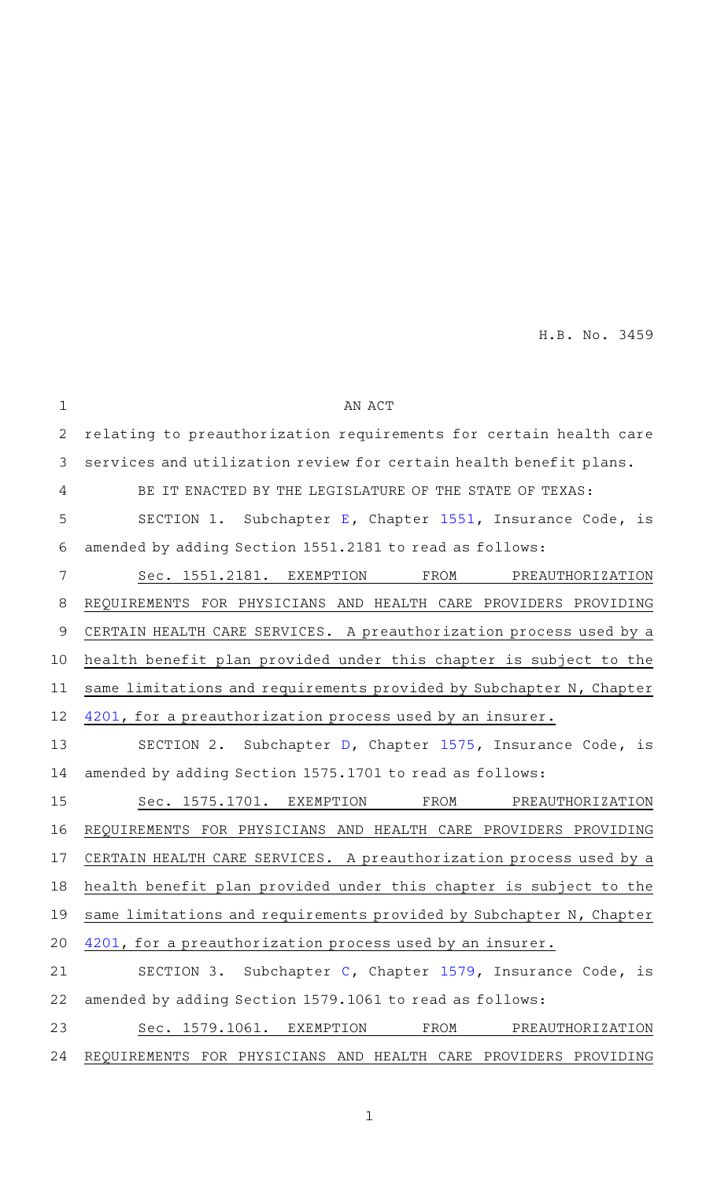| $\mathbf 1$    | AN ACT                                                              |
|----------------|---------------------------------------------------------------------|
| $\mathbf{2}$   | relating to preauthorization requirements for certain health care   |
| 3              | services and utilization review for certain health benefit plans.   |
| 4              | BE IT ENACTED BY THE LEGISLATURE OF THE STATE OF TEXAS:             |
| 5              | SECTION 1. Subchapter E, Chapter 1551, Insurance Code, is           |
| 6              | amended by adding Section 1551.2181 to read as follows:             |
| $\overline{7}$ | Sec. 1551.2181. EXEMPTION<br>FROM<br>PREAUTHORIZATION               |
| 8              | REQUIREMENTS FOR PHYSICIANS AND HEALTH CARE PROVIDERS PROVIDING     |
| 9              | CERTAIN HEALTH CARE SERVICES. A preauthorization process used by a  |
| 10             | health benefit plan provided under this chapter is subject to the   |
| 11             | same limitations and requirements provided by Subchapter N, Chapter |
| 12             | 4201, for a preauthorization process used by an insurer.            |
| 13             | SECTION 2. Subchapter D, Chapter 1575, Insurance Code, is           |
| 14             | amended by adding Section 1575.1701 to read as follows:             |
| 15             | Sec. 1575.1701. EXEMPTION<br>FROM<br>PREAUTHORIZATION               |
| 16             | REQUIREMENTS FOR PHYSICIANS AND HEALTH CARE PROVIDERS PROVIDING     |
| 17             | CERTAIN HEALTH CARE SERVICES. A preauthorization process used by a  |
| 18             | health benefit plan provided under this chapter is subject to the   |
| 19             | same limitations and requirements provided by Subchapter N, Chapter |
| 20             | 4201, for a preauthorization process used by an insurer.            |
| 21             | SECTION 3. Subchapter C, Chapter 1579, Insurance Code, is           |
| 22             | amended by adding Section 1579.1061 to read as follows:             |
| 23             | Sec. 1579.1061. EXEMPTION<br>FROM<br>PREAUTHORIZATION               |
| 24             | REQUIREMENTS FOR PHYSICIANS AND HEALTH CARE PROVIDERS PROVIDING     |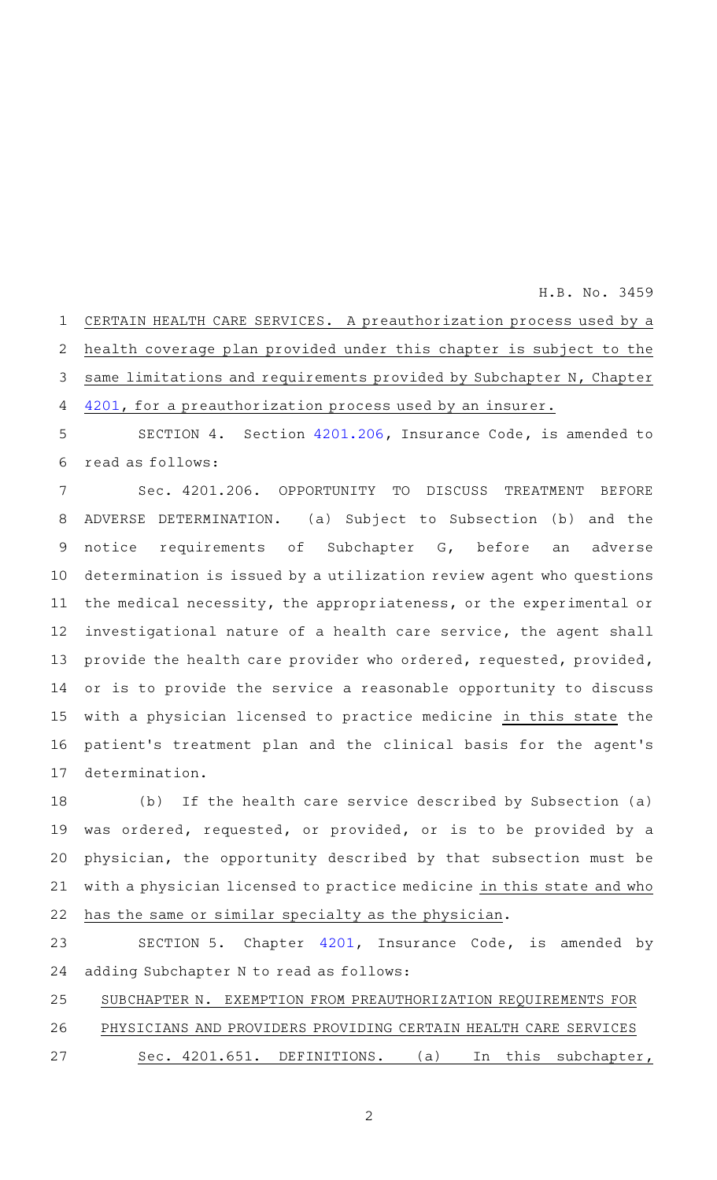CERTAIN HEALTH CARE SERVICES. A preauthorization process used by a health coverage plan provided under this chapter is subject to the same limitations and requirements provided by Subchapter N, Chapter [4201](http://www.statutes.legis.state.tx.us/GetStatute.aspx?Code=IN&Value=4201&Date=5/30/2021), for a preauthorization process used by an insurer. 1 2 3 4

SECTION 4. Section [4201.206,](http://www.statutes.legis.state.tx.us/GetStatute.aspx?Code=IN&Value=4201.206&Date=5/30/2021) Insurance Code, is amended to read as follows: 5 6

Sec. 4201.206. OPPORTUNITY TO DISCUSS TREATMENT BEFORE ADVERSE DETERMINATION. (a) Subject to Subsection (b) and the notice requirements of Subchapter G, before an adverse determination is issued by a utilization review agent who questions the medical necessity, the appropriateness, or the experimental or investigational nature of a health care service, the agent shall provide the health care provider who ordered, requested, provided, or is to provide the service a reasonable opportunity to discuss with a physician licensed to practice medicine in this state the patient's treatment plan and the clinical basis for the agent's determination. 7 8 9 10 11 12 13 14 15 16 17

(b) If the health care service described by Subsection (a) was ordered, requested, or provided, or is to be provided by a physician, the opportunity described by that subsection must be with a physician licensed to practice medicine in this state and who has the same or similar specialty as the physician. 18 19 20 21 22

SECTION 5. Chapter [4201,](http://www.statutes.legis.state.tx.us/GetStatute.aspx?Code=IN&Value=4201&Date=5/30/2021) Insurance Code, is amended by adding Subchapter N to read as follows: 23 24

SUBCHAPTER N. EXEMPTION FROM PREAUTHORIZATION REQUIREMENTS FOR 25

PHYSICIANS AND PROVIDERS PROVIDING CERTAIN HEALTH CARE SERVICES 26

Sec. 4201.651. DEFINITIONS. (a) In this subchapter, 27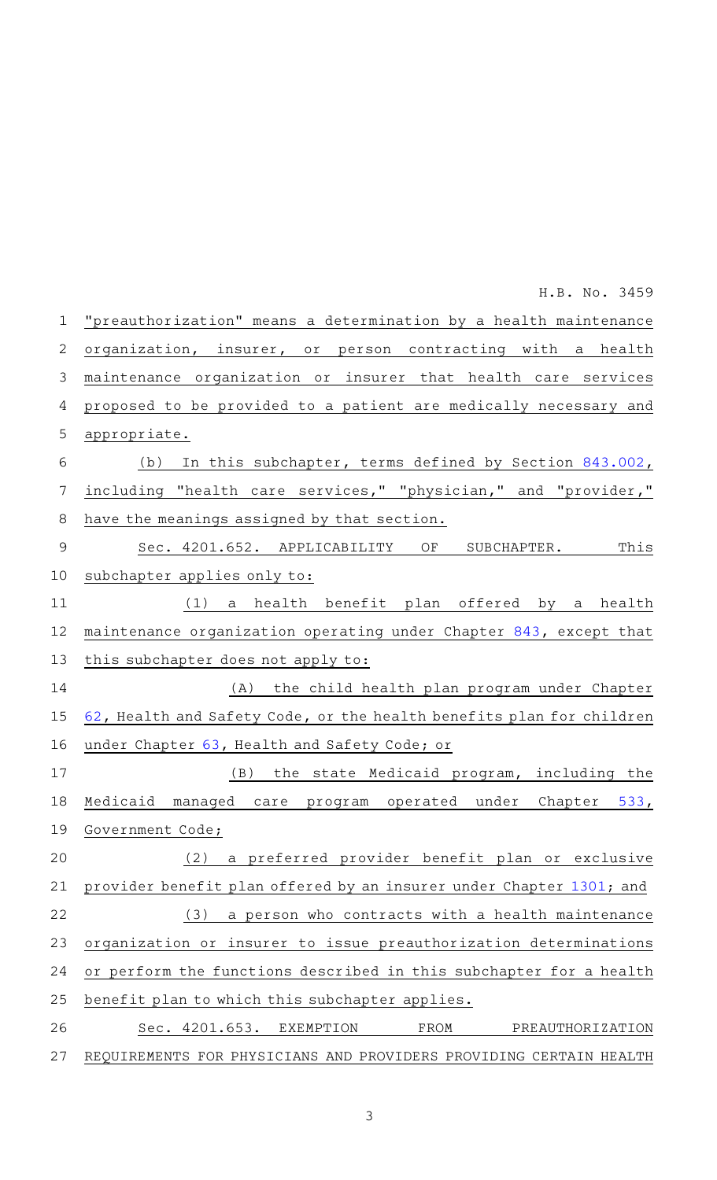"preauthorization" means a determination by a health maintenance organization, insurer, or person contracting with a health maintenance organization or insurer that health care services proposed to be provided to a patient are medically necessary and appropriate. (b) In this subchapter, terms defined by Section [843.002](http://www.statutes.legis.state.tx.us/GetStatute.aspx?Code=IN&Value=843.002&Date=5/30/2021), including "health care services," "physician," and "provider," have the meanings assigned by that section. Sec. 4201.652. APPLICABILITY OF SUBCHAPTER. This subchapter applies only to: (1) a health benefit plan offered by a health maintenance organization operating under Chapter [843](http://www.statutes.legis.state.tx.us/GetStatute.aspx?Code=IN&Value=843&Date=5/30/2021), except that this subchapter does not apply to: (A) the child health plan program under Chapter [62](http://www.statutes.legis.state.tx.us/GetStatute.aspx?Code=HS&Value=62&Date=5/30/2021), Health and Safety Code, or the health benefits plan for children under Chapter [63,](http://www.statutes.legis.state.tx.us/GetStatute.aspx?Code=HS&Value=63&Date=5/30/2021) Health and Safety Code; or (B) the state Medicaid program, including the Medicaid managed care program operated under Chapter [533](http://www.statutes.legis.state.tx.us/GetStatute.aspx?Code=GV&Value=533&Date=5/30/2021), Government Code; (2) a preferred provider benefit plan or exclusive provider benefit plan offered by an insurer under Chapter [1301](http://www.statutes.legis.state.tx.us/GetStatute.aspx?Code=IN&Value=1301&Date=5/30/2021); and  $(3)$  a person who contracts with a health maintenance organization or insurer to issue preauthorization determinations or perform the functions described in this subchapter for a health benefit plan to which this subchapter applies. Sec. 4201.653. EXEMPTION FROM PREAUTHORIZATION REQUIREMENTS FOR PHYSICIANS AND PROVIDERS PROVIDING CERTAIN HEALTH 1 2 3 4 5 6 7 8 9 10 11 12 13 14 15 16 17 18 19 20 21 22 23 24 25 26 27

H.B. No. 3459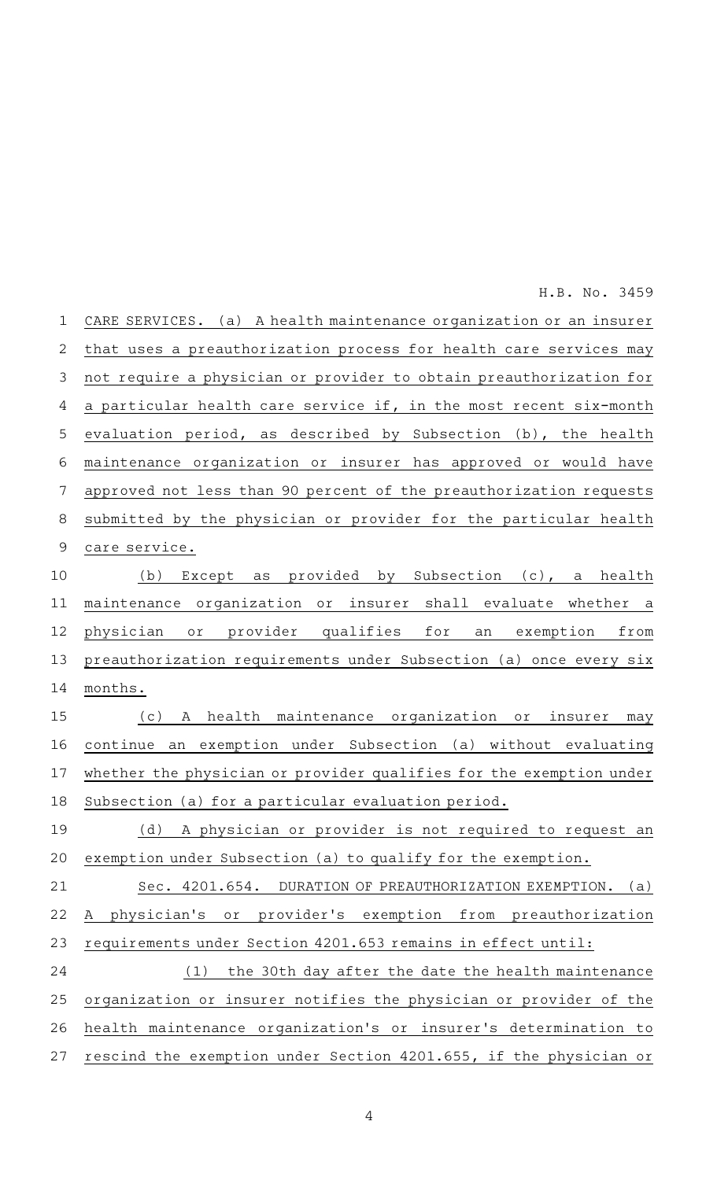CARE SERVICES. (a) A health maintenance organization or an insurer that uses a preauthorization process for health care services may not require a physician or provider to obtain preauthorization for a particular health care service if, in the most recent six-month evaluation period, as described by Subsection (b), the health maintenance organization or insurer has approved or would have approved not less than 90 percent of the preauthorization requests submitted by the physician or provider for the particular health care service. (b) Except as provided by Subsection (c), a health maintenance organization or insurer shall evaluate whether a physician or provider qualifies for an exemption from preauthorization requirements under Subsection (a) once every six months. (c)AAA health maintenance organization or insurer may continue an exemption under Subsection (a) without evaluating whether the physician or provider qualifies for the exemption under Subsection (a) for a particular evaluation period. (d) A physician or provider is not required to request an exemption under Subsection (a) to qualify for the exemption. Sec. 4201.654. DURATION OF PREAUTHORIZATION EXEMPTION. (a) A physician 's or provider 's exemption from preauthorization requirements under Section 4201.653 remains in effect until: (1) the 30th day after the date the health maintenance organization or insurer notifies the physician or provider of the health maintenance organization 's or insurer 's determination to rescind the exemption under Section 4201.655, if the physician or 1 2 3 4 5 6 7 8 9 10 11 12 13 14 15 16 17 18 19 20 21 22 23 24 25 26 27 H.B. No. 3459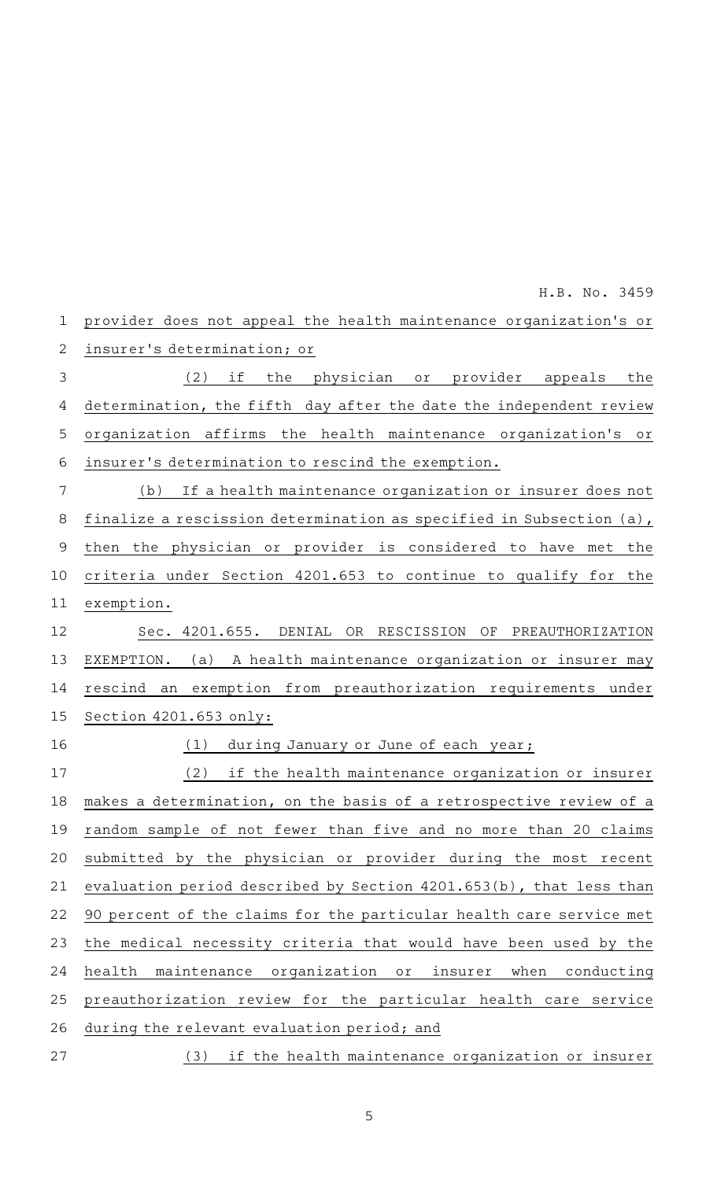| 1           | provider does not appeal the health maintenance organization's or         |
|-------------|---------------------------------------------------------------------------|
| 2           | insurer's determination; or                                               |
| 3           | (2)<br>if<br>the<br>physician or provider appeals<br>the                  |
| 4           | determination, the fifth day after the date the independent review        |
| 5           | organization affirms<br>the health maintenance organization's<br>Оľ       |
| 6           | insurer's determination to rescind the exemption.                         |
| 7           | If a health maintenance organization or insurer does not<br>(b)           |
| 8           | finalize a rescission determination as specified in Subsection (a),       |
| $\mathsf 9$ | then the physician or provider is considered to have<br>the<br>met        |
| 10          | criteria under Section 4201.653 to continue to qualify for the            |
| 11          | exemption.                                                                |
| 12          | Sec. 4201.655. DENIAL<br>OR RESCISSION OF PREAUTHORIZATION                |
| 13          | EXEMPTION. (a) A health maintenance organization or insurer may           |
| 14          | rescind an exemption from preauthorization requirements under             |
| 15          | Section 4201.653 only:                                                    |
| 16          | during January or June of each year;<br>(1)                               |
| 17          | (2)<br>if the health maintenance organization or insurer                  |
| 18          | makes a determination, on the basis of a retrospective review of a        |
| 19          | random sample of not fewer than five and no more than 20 claims           |
| 20          | submitted by the physician or provider during the most recent             |
| 21          | evaluation period described by Section 4201.653(b), that less than        |
| 22          | 90 percent of the claims for the particular health care service met       |
| 23          | the medical necessity criteria that would have been used by the           |
| 24          | maintenance organization<br>health<br>insurer<br>when<br>conducting<br>Оľ |
| 25          | preauthorization review for the particular health care service            |
| 26          | during the relevant evaluation period; and                                |
| 27          | if the health maintenance organization or insurer<br>(3)                  |
|             |                                                                           |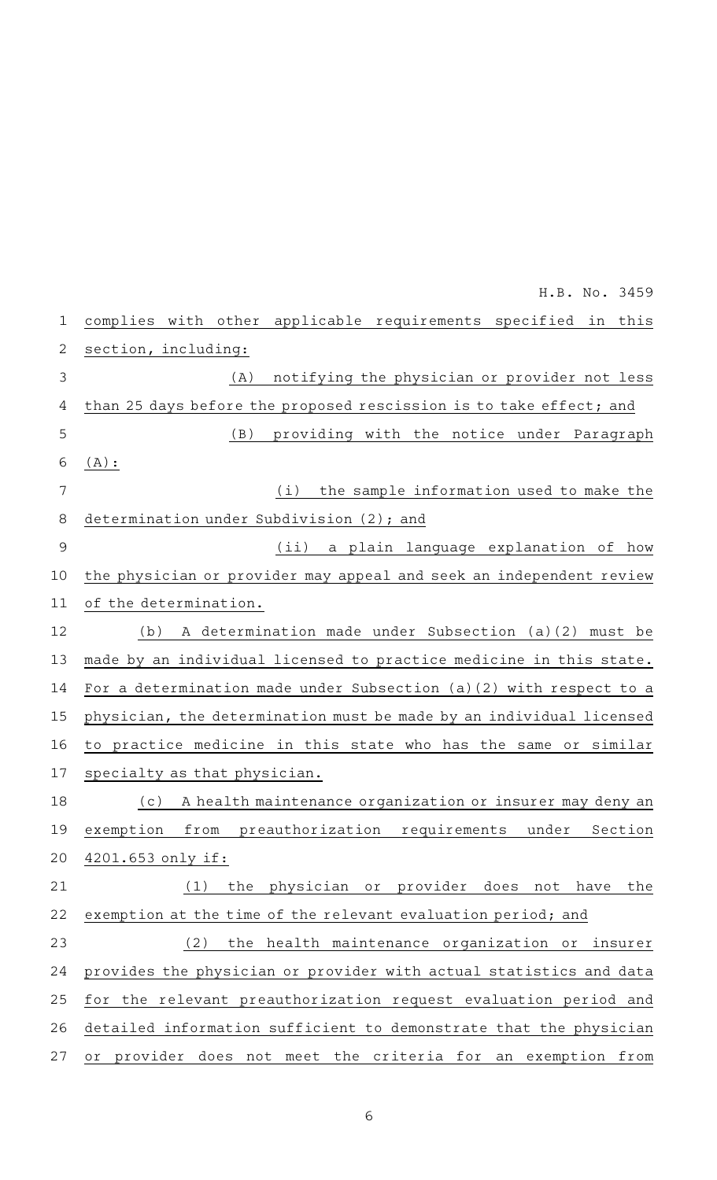| $\mathbf 1$ | complies with other<br>applicable requirements specified in this    |
|-------------|---------------------------------------------------------------------|
| 2           | section, including:                                                 |
| 3           | notifying the physician or provider not less<br>(A)                 |
| 4           | than 25 days before the proposed rescission is to take effect; and  |
| 5           | (B)<br>providing with the notice under Paragraph                    |
| 6           | $(A)$ :                                                             |
| 7           | the sample information used to make the<br>(i)                      |
| 8           | determination under Subdivision (2); and                            |
| 9           | (iii)<br>a plain language explanation of how                        |
| 10          | the physician or provider may appeal and seek an independent review |
| 11          | of the determination.                                               |
| 12          | A determination made under Subsection (a)(2) must be<br>(b)         |
| 13          | made by an individual licensed to practice medicine in this state.  |
| 14          | For a determination made under Subsection (a)(2) with respect to a  |
| 15          | physician, the determination must be made by an individual licensed |
| 16          | to practice medicine in this state who has the same or similar      |
| 17          | specialty as that physician.                                        |
| 18          | A health maintenance organization or insurer may deny an<br>(c)     |
| 19          | exemption from preauthorization requirements under Section          |
| 20          | $4201.653$ only if:                                                 |
| 21          | (1)<br>the physician or provider does<br>have<br>the<br>not         |
| 22          | exemption at the time of the relevant evaluation period; and        |
| 23          | (2)<br>the health maintenance organization or insurer               |
| 24          | provides the physician or provider with actual statistics and data  |
| 25          | for the relevant preauthorization request evaluation period and     |
| 26          | detailed information sufficient to demonstrate that the physician   |
| 27          | or provider does not meet the criteria for an exemption from        |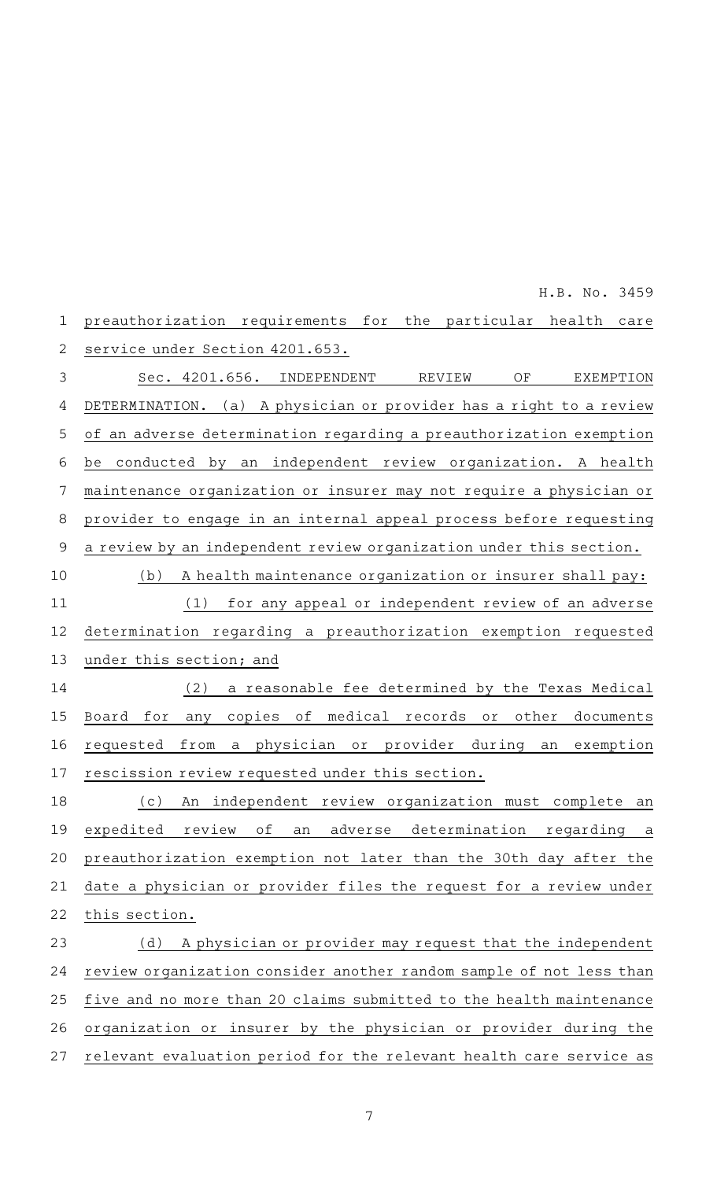| $\mathbf 1$    | preauthorization requirements for<br>the particular<br>health<br>care                             |
|----------------|---------------------------------------------------------------------------------------------------|
| $\overline{2}$ | service under Section 4201.653.                                                                   |
| 3              | Sec. 4201.656.<br>INDEPENDENT<br>OF<br>REVIEW<br>EXEMPTION                                        |
| 4              | (a) A physician or provider has a right to a review<br>DETERMINATION.                             |
| 5              | of an adverse determination regarding a preauthorization exemption                                |
| 6              | independent review organization. A health<br>conducted<br>by<br>an<br>be                          |
| 7              | maintenance organization or insurer may not require a physician or                                |
| $\,8\,$        | provider to engage in an internal appeal process before requesting                                |
| $\mathsf 9$    | a review by an independent review organization under this section.                                |
| 10             | A health maintenance organization or insurer shall pay:<br>(b)                                    |
| 11             | for any appeal or independent review of an adverse<br>(1)                                         |
| 12             | determination regarding a preauthorization exemption requested                                    |
| 13             | under this section; and                                                                           |
| 14             | (2)<br>a reasonable fee determined by the Texas Medical                                           |
| 15             | оf<br>medical<br>records<br>for<br>copies<br>other<br>documents<br>Board<br>any<br>O <sub>T</sub> |
| 16             | provider<br>physician<br>during<br>requested<br>from<br>exemption<br>оr<br>a<br>an                |
| 17             | rescission review requested under this section.                                                   |
| 18             | independent review organization must complete<br>(c)<br>An<br>an                                  |
| 19             | expedited review of an adverse determination regarding a                                          |
| 20             | preauthorization exemption not later than the 30th day after the                                  |
| 21             | date a physician or provider files the request for a review under                                 |
| 22             | this section.                                                                                     |
| 23             | A physician or provider may request that the independent<br>(d)                                   |
| 24             | review organization consider another random sample of not less than                               |
| 25             | five and no more than 20 claims submitted to the health maintenance                               |
| 26             | organization or insurer by the physician or provider during the                                   |
| 27             | relevant evaluation period for the relevant health care service as                                |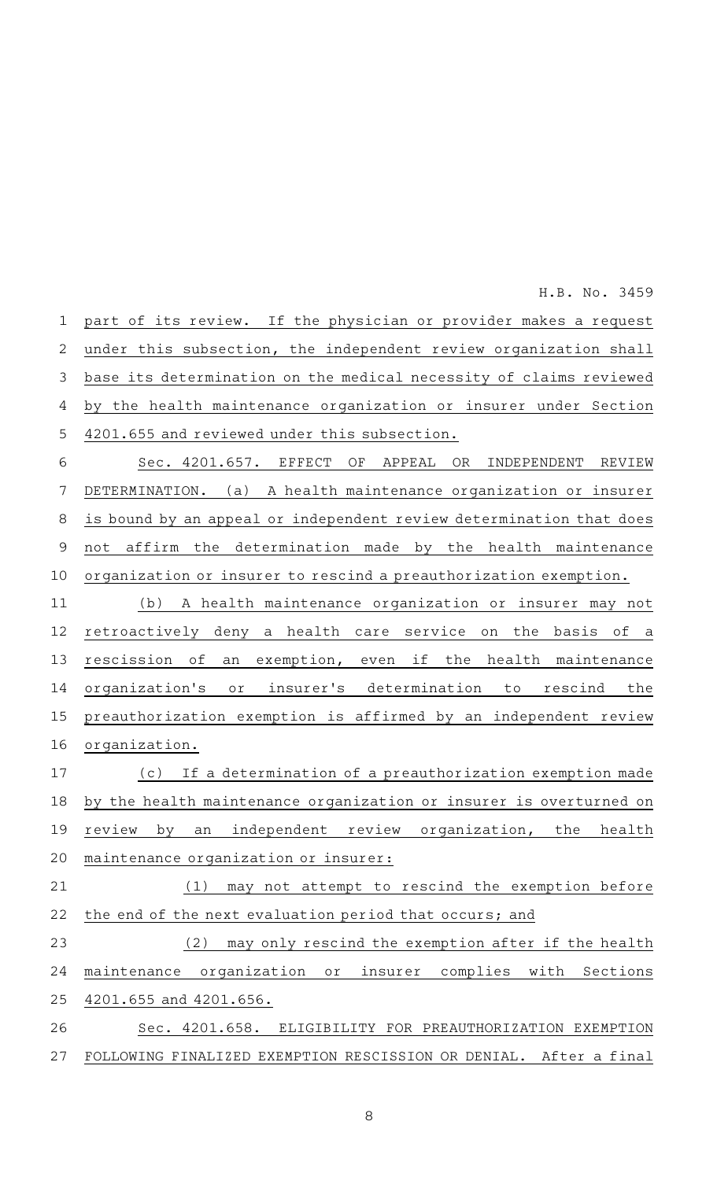part of its review. If the physician or provider makes a request under this subsection, the independent review organization shall base its determination on the medical necessity of claims reviewed by the health maintenance organization or insurer under Section 4201.655 and reviewed under this subsection. Sec. 4201.657. EFFECT OF APPEAL OR INDEPENDENT REVIEW DETERMINATION. (a) A health maintenance organization or insurer is bound by an appeal or independent review determination that does not affirm the determination made by the health maintenance organization or insurer to rescind a preauthorization exemption. (b) A health maintenance organization or insurer may not retroactively deny a health care service on the basis of a rescission of an exemption, even if the health maintenance organization 's or insurer 's determination to rescind the 1 2 3 4 5 6 7 8 9 10 11 12 13 14

H.B. No. 3459

organization. (c) If a determination of a preauthorization exemption made by the health maintenance organization or insurer is overturned on review by an independent review organization, the health maintenance organization or insurer: 16 17 18 19 20

preauthorization exemption is affirmed by an independent review

15

 $(1)$  may not attempt to rescind the exemption before the end of the next evaluation period that occurs; and 21 22

(2) may only rescind the exemption after if the health maintenance organization or insurer complies with Sections 4201.655 and 4201.656. 23 24 25

Sec. 4201.658. ELIGIBILITY FOR PREAUTHORIZATION EXEMPTION FOLLOWING FINALIZED EXEMPTION RESCISSION OR DENIAL. After a final 26 27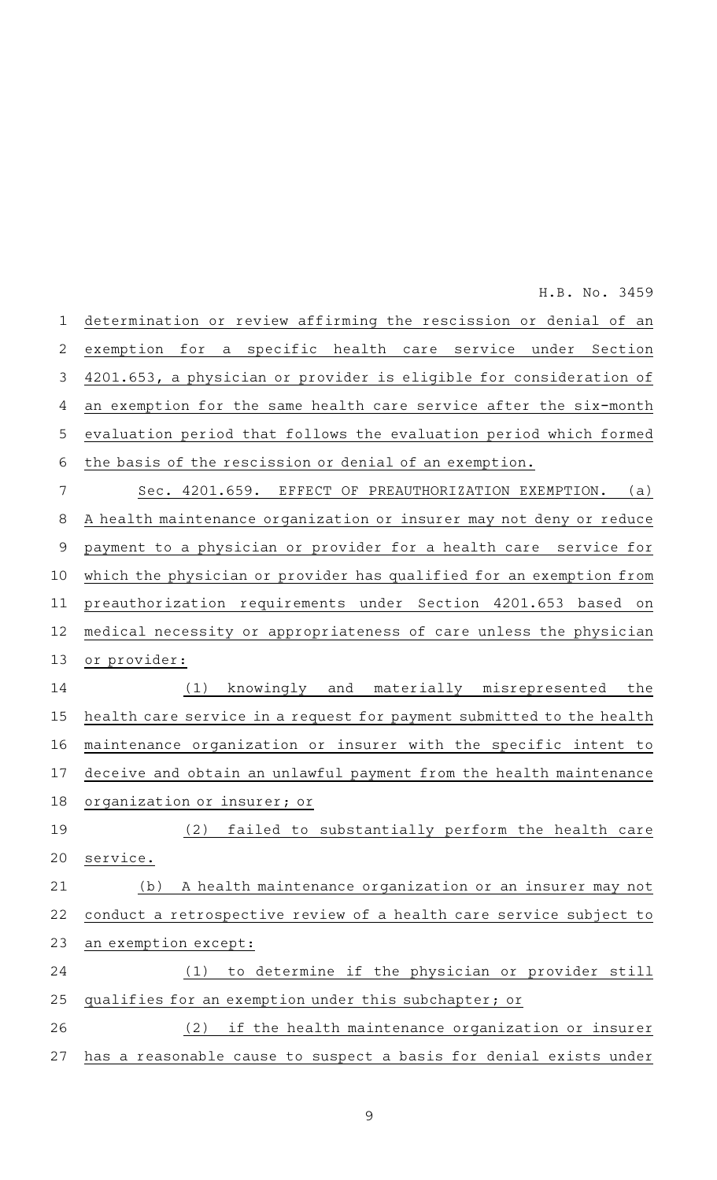| $\mathbf 1$    | determination or review affirming the rescission or denial of an     |
|----------------|----------------------------------------------------------------------|
| $\overline{2}$ | exemption for a specific health care service under Section           |
| 3              | 4201.653, a physician or provider is eligible for consideration of   |
| 4              | an exemption for the same health care service after the six-month    |
| 5              | evaluation period that follows the evaluation period which formed    |
| 6              | the basis of the rescission or denial of an exemption.               |
| 7              | Sec. 4201.659. EFFECT OF PREAUTHORIZATION EXEMPTION.<br>(a)          |
| 8              | A health maintenance organization or insurer may not deny or reduce  |
| $\mathsf 9$    | payment to a physician or provider for a health care service for     |
| 10             | which the physician or provider has qualified for an exemption from  |
| 11             | preauthorization requirements under Section 4201.653 based on        |
| 12             | medical necessity or appropriateness of care unless the physician    |
| 13             | or provider:                                                         |
| 14             | (1)<br>knowingly and materially misrepresented the                   |
| 15             | health care service in a request for payment submitted to the health |
| 16             | maintenance organization or insurer with the specific intent to      |
| 17             | deceive and obtain an unlawful payment from the health maintenance   |
| 18             | organization or insurer; or                                          |
| 19             | (2) failed to substantially perform the health care                  |
| 20             | service.                                                             |
| 21             | A health maintenance organization or an insurer may not<br>(b)       |
| 22             | conduct a retrospective review of a health care service subject to   |
| 23             | an exemption except:                                                 |
| 24             | to determine if the physician or provider still<br>(1)               |
| 25             | qualifies for an exemption under this subchapter; or                 |
| 26             | if the health maintenance organization or insurer<br>(2)             |
| 27             | has a reasonable cause to suspect a basis for denial exists under    |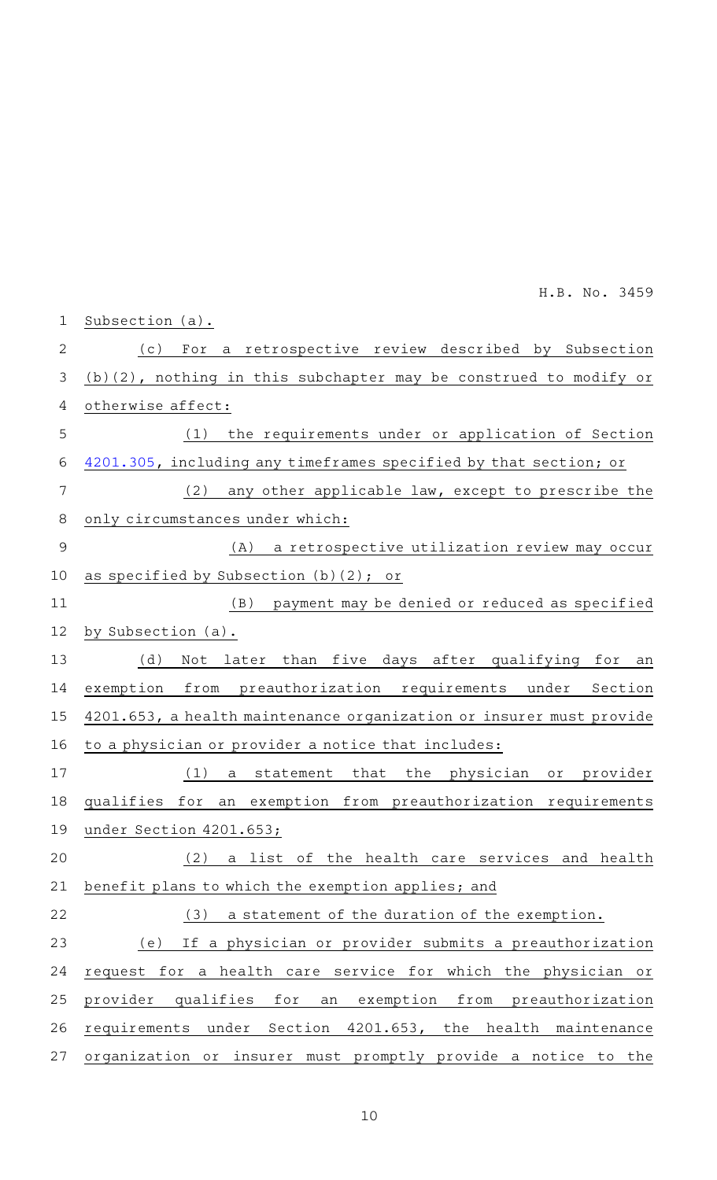| $\mathbf 1$   | Subsection (a).                                                        |
|---------------|------------------------------------------------------------------------|
| $\mathbf{2}$  | a retrospective review described by Subsection<br>( C )<br>For         |
| 3             | (b)(2), nothing in this subchapter may be construed to modify or       |
| 4             | otherwise affect:                                                      |
| 5             | the requirements under or application of Section<br>(1)                |
| 6             | 4201.305, including any timeframes specified by that section; or       |
| 7             | (2)<br>any other applicable law, except to prescribe the               |
| 8             | only circumstances under which:                                        |
| $\mathcal{G}$ | a retrospective utilization review may occur<br>(A)                    |
| 10            | as specified by Subsection (b)(2); or                                  |
| 11            | payment may be denied or reduced as specified<br>(B)                   |
| 12            | by Subsection (a).                                                     |
| 13            | (d)<br>Not later than five days after qualifying for an                |
| 14            | from preauthorization requirements under Section<br>exemption          |
| 15            | 4201.653, a health maintenance organization or insurer must provide    |
| 16            | to a physician or provider a notice that includes:                     |
| 17            | (1)<br>that<br>the<br>physician<br>provider<br>statement<br>or<br>а    |
| 18            | exemption<br>from preauthorization requirements<br>qualifies for<br>an |
| 19            | under Section 4201.653;                                                |
| 20            | (2)<br>a list of the health care services and health                   |
| 21            | benefit plans to which the exemption applies; and                      |
| 22            | (3)<br>a statement of the duration of the exemption.                   |
| 23            | If a physician or provider submits a preauthorization<br>(e)           |
| 24            | request for a health care service for which the physician or           |
| 25            | provider<br>qualifies<br>for<br>exemption from preauthorization<br>an  |
| 26            | under Section 4201.653, the health maintenance<br>requirements         |
| 27            | organization or insurer must promptly provide a notice to the          |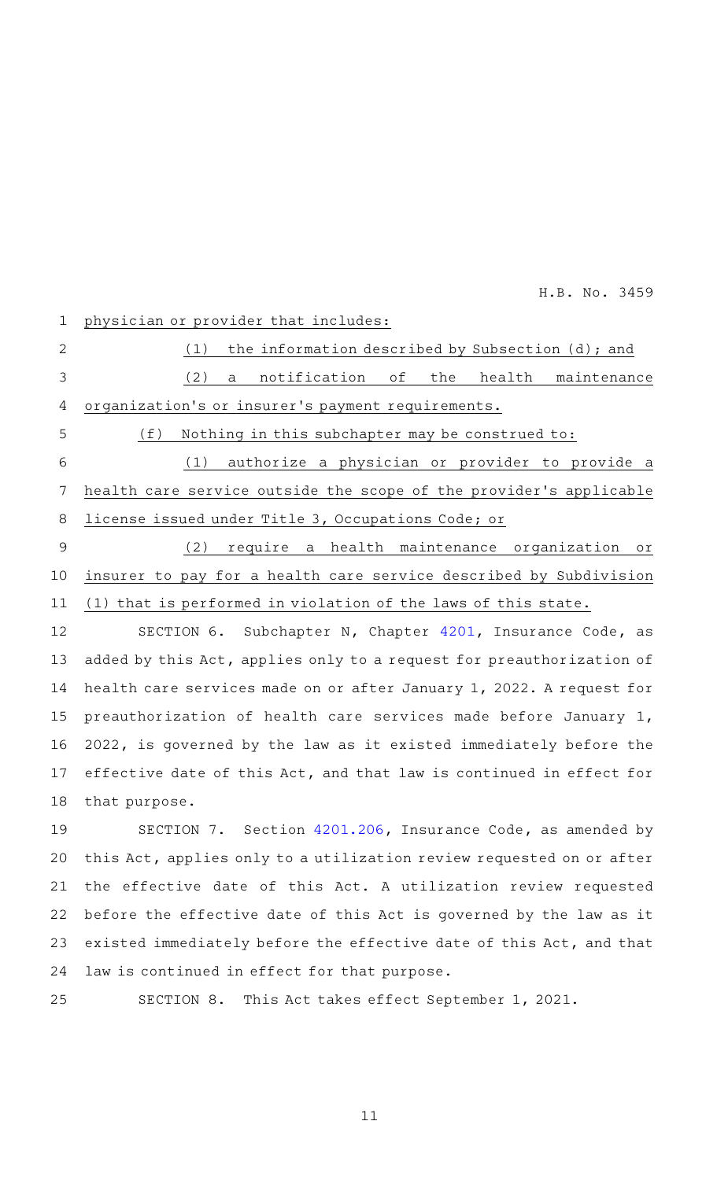1

(1) the information described by Subsection  $(d)$ ; and (2) a notification of the health maintenance organization 's or insurer 's payment requirements.  $(f)$  Nothing in this subchapter may be construed to: (1) authorize a physician or provider to provide a health care service outside the scope of the provider 's applicable license issued under Title 3, Occupations Code; or (2) require a health maintenance organization or 2 3 4 5 6 7 8 9

physician or provider that includes:

insurer to pay for a health care service described by Subdivision (1) that is performed in violation of the laws of this state. 10 11

SECTION 6. Subchapter N, Chapter [4201,](http://www.statutes.legis.state.tx.us/GetStatute.aspx?Code=IN&Value=4201&Date=5/30/2021) Insurance Code, as added by this Act, applies only to a request for preauthorization of health care services made on or after January 1, 2022. A request for preauthorization of health care services made before January 1, 2022, is governed by the law as it existed immediately before the effective date of this Act, and that law is continued in effect for that purpose. 12 13 14 15 16 17 18

SECTION 7. Section [4201.206,](http://www.statutes.legis.state.tx.us/GetStatute.aspx?Code=IN&Value=4201.206&Date=5/30/2021) Insurance Code, as amended by this Act, applies only to a utilization review requested on or after the effective date of this Act. A utilization review requested before the effective date of this Act is governed by the law as it existed immediately before the effective date of this Act, and that law is continued in effect for that purpose. 19 20 21 22 23 24

25

SECTION 8. This Act takes effect September 1, 2021.